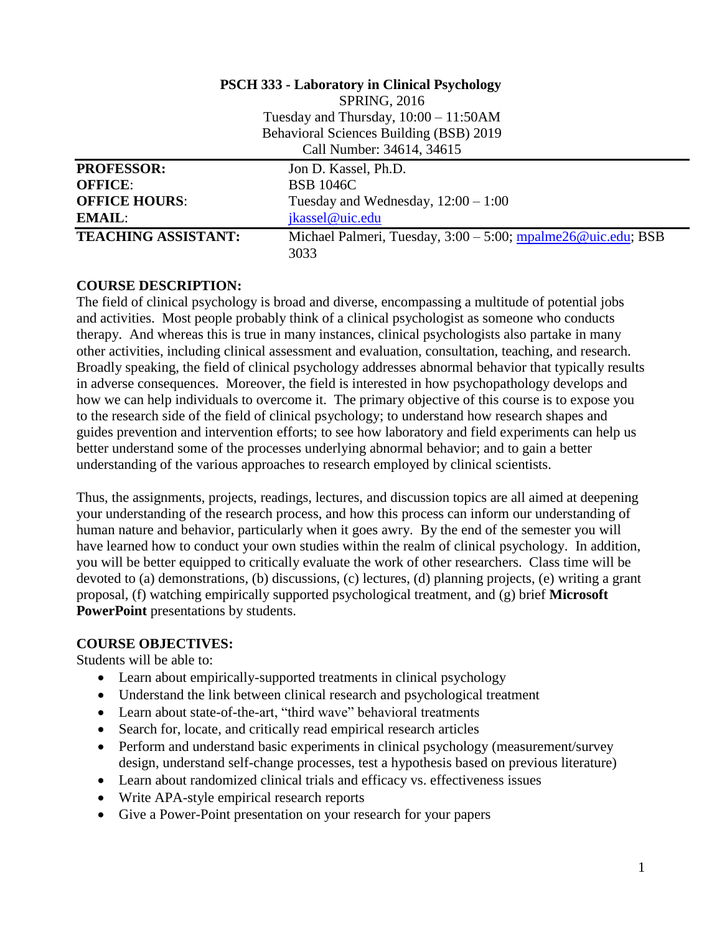|                            | <b>PSCH 333 - Laboratory in Clinical Psychology</b>                 |
|----------------------------|---------------------------------------------------------------------|
|                            | <b>SPRING, 2016</b>                                                 |
|                            | Tuesday and Thursday, $10:00 - 11:50AM$                             |
|                            | Behavioral Sciences Building (BSB) 2019                             |
|                            | Call Number: 34614, 34615                                           |
| <b>PROFESSOR:</b>          | Jon D. Kassel, Ph.D.                                                |
| <b>OFFICE:</b>             | <b>BSB 1046C</b>                                                    |
| <b>OFFICE HOURS:</b>       | Tuesday and Wednesday, $12:00 - 1:00$                               |
| <b>EMAIL:</b>              | jkassel@uic.edu                                                     |
| <b>TEACHING ASSISTANT:</b> | Michael Palmeri, Tuesday, $3:00 - 5:00$ ; mpalme $26@$ uic.edu; BSB |
|                            | 3033                                                                |

### **COURSE DESCRIPTION:**

The field of clinical psychology is broad and diverse, encompassing a multitude of potential jobs and activities. Most people probably think of a clinical psychologist as someone who conducts therapy. And whereas this is true in many instances, clinical psychologists also partake in many other activities, including clinical assessment and evaluation, consultation, teaching, and research. Broadly speaking, the field of clinical psychology addresses abnormal behavior that typically results in adverse consequences. Moreover, the field is interested in how psychopathology develops and how we can help individuals to overcome it. The primary objective of this course is to expose you to the research side of the field of clinical psychology; to understand how research shapes and guides prevention and intervention efforts; to see how laboratory and field experiments can help us better understand some of the processes underlying abnormal behavior; and to gain a better understanding of the various approaches to research employed by clinical scientists.

Thus, the assignments, projects, readings, lectures, and discussion topics are all aimed at deepening your understanding of the research process, and how this process can inform our understanding of human nature and behavior, particularly when it goes awry. By the end of the semester you will have learned how to conduct your own studies within the realm of clinical psychology. In addition, you will be better equipped to critically evaluate the work of other researchers. Class time will be devoted to (a) demonstrations, (b) discussions, (c) lectures, (d) planning projects, (e) writing a grant proposal, (f) watching empirically supported psychological treatment, and (g) brief **Microsoft PowerPoint** presentations by students.

### **COURSE OBJECTIVES:**

Students will be able to:

- Learn about empirically-supported treatments in clinical psychology
- Understand the link between clinical research and psychological treatment
- Learn about state-of-the-art, "third wave" behavioral treatments
- Search for, locate, and critically read empirical research articles
- Perform and understand basic experiments in clinical psychology (measurement/survey design, understand self-change processes, test a hypothesis based on previous literature)
- Learn about randomized clinical trials and efficacy vs. effectiveness issues
- Write APA-style empirical research reports
- Give a Power-Point presentation on your research for your papers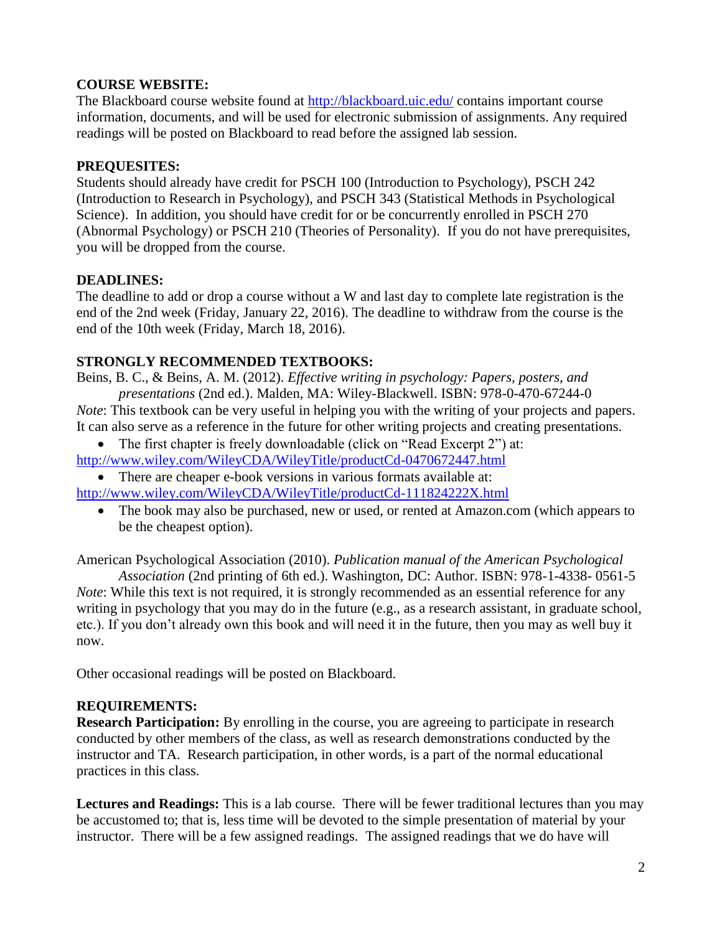## **COURSE WEBSITE:**

The Blackboard course website found at<http://blackboard.uic.edu/> contains important course information, documents, and will be used for electronic submission of assignments. Any required readings will be posted on Blackboard to read before the assigned lab session.

## **PREQUESITES:**

Students should already have credit for PSCH 100 (Introduction to Psychology), PSCH 242 (Introduction to Research in Psychology), and PSCH 343 (Statistical Methods in Psychological Science). In addition, you should have credit for or be concurrently enrolled in PSCH 270 (Abnormal Psychology) or PSCH 210 (Theories of Personality). If you do not have prerequisites, you will be dropped from the course.

## **DEADLINES:**

The deadline to add or drop a course without a W and last day to complete late registration is the end of the 2nd week (Friday, January 22, 2016). The deadline to withdraw from the course is the end of the 10th week (Friday, March 18, 2016).

## **STRONGLY RECOMMENDED TEXTBOOKS:**

Beins, B. C., & Beins, A. M. (2012). *Effective writing in psychology: Papers, posters, and presentations* (2nd ed.). Malden, MA: Wiley-Blackwell. ISBN: 978-0-470-67244-0 *Note*: This textbook can be very useful in helping you with the writing of your projects and papers.

- It can also serve as a reference in the future for other writing projects and creating presentations. • The first chapter is freely downloadable (click on "Read Excerpt 2") at:
- <http://www.wiley.com/WileyCDA/WileyTitle/productCd-0470672447.html>

 There are cheaper e-book versions in various formats available at: <http://www.wiley.com/WileyCDA/WileyTitle/productCd-111824222X.html>

• The book may also be purchased, new or used, or rented at Amazon.com (which appears to be the cheapest option).

American Psychological Association (2010). *Publication manual of the American Psychological*

*Association* (2nd printing of 6th ed.). Washington, DC: Author. ISBN: 978-1-4338- 0561-5 *Note*: While this text is not required, it is strongly recommended as an essential reference for any writing in psychology that you may do in the future (e.g., as a research assistant, in graduate school, etc.). If you don't already own this book and will need it in the future, then you may as well buy it now.

Other occasional readings will be posted on Blackboard.

### **REQUIREMENTS:**

**Research Participation:** By enrolling in the course, you are agreeing to participate in research conducted by other members of the class, as well as research demonstrations conducted by the instructor and TA. Research participation, in other words, is a part of the normal educational practices in this class.

**Lectures and Readings:** This is a lab course. There will be fewer traditional lectures than you may be accustomed to; that is, less time will be devoted to the simple presentation of material by your instructor. There will be a few assigned readings. The assigned readings that we do have will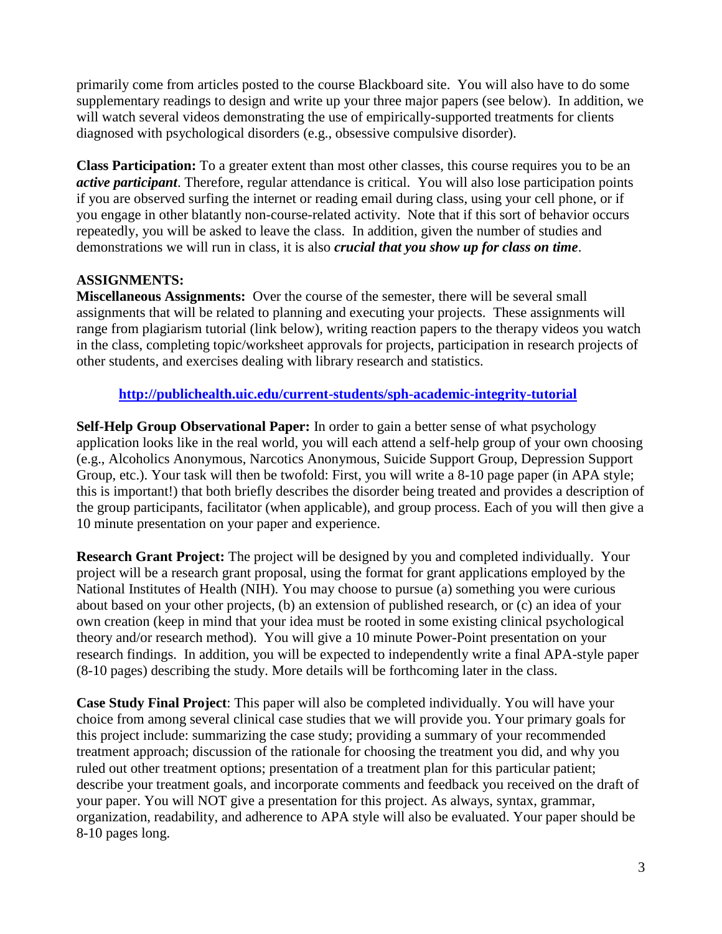primarily come from articles posted to the course Blackboard site. You will also have to do some supplementary readings to design and write up your three major papers (see below). In addition, we will watch several videos demonstrating the use of empirically-supported treatments for clients diagnosed with psychological disorders (e.g., obsessive compulsive disorder).

**Class Participation:** To a greater extent than most other classes, this course requires you to be an *active participant*. Therefore, regular attendance is critical. You will also lose participation points if you are observed surfing the internet or reading email during class, using your cell phone, or if you engage in other blatantly non-course-related activity. Note that if this sort of behavior occurs repeatedly, you will be asked to leave the class. In addition, given the number of studies and demonstrations we will run in class, it is also *crucial that you show up for class on time*.

### **ASSIGNMENTS:**

**Miscellaneous Assignments:** Over the course of the semester, there will be several small assignments that will be related to planning and executing your projects. These assignments will range from plagiarism tutorial (link below), writing reaction papers to the therapy videos you watch in the class, completing topic/worksheet approvals for projects, participation in research projects of other students, and exercises dealing with library research and statistics.

#### **<http://publichealth.uic.edu/current-students/sph-academic-integrity-tutorial>**

**Self-Help Group Observational Paper:** In order to gain a better sense of what psychology application looks like in the real world, you will each attend a self-help group of your own choosing (e.g., Alcoholics Anonymous, Narcotics Anonymous, Suicide Support Group, Depression Support Group, etc.). Your task will then be twofold: First, you will write a 8-10 page paper (in APA style; this is important!) that both briefly describes the disorder being treated and provides a description of the group participants, facilitator (when applicable), and group process. Each of you will then give a 10 minute presentation on your paper and experience.

**Research Grant Project:** The project will be designed by you and completed individually. Your project will be a research grant proposal, using the format for grant applications employed by the National Institutes of Health (NIH). You may choose to pursue (a) something you were curious about based on your other projects, (b) an extension of published research, or (c) an idea of your own creation (keep in mind that your idea must be rooted in some existing clinical psychological theory and/or research method). You will give a 10 minute Power-Point presentation on your research findings. In addition, you will be expected to independently write a final APA-style paper (8-10 pages) describing the study. More details will be forthcoming later in the class.

**Case Study Final Project**: This paper will also be completed individually. You will have your choice from among several clinical case studies that we will provide you. Your primary goals for this project include: summarizing the case study; providing a summary of your recommended treatment approach; discussion of the rationale for choosing the treatment you did, and why you ruled out other treatment options; presentation of a treatment plan for this particular patient; describe your treatment goals, and incorporate comments and feedback you received on the draft of your paper. You will NOT give a presentation for this project. As always, syntax, grammar, organization, readability, and adherence to APA style will also be evaluated. Your paper should be 8-10 pages long.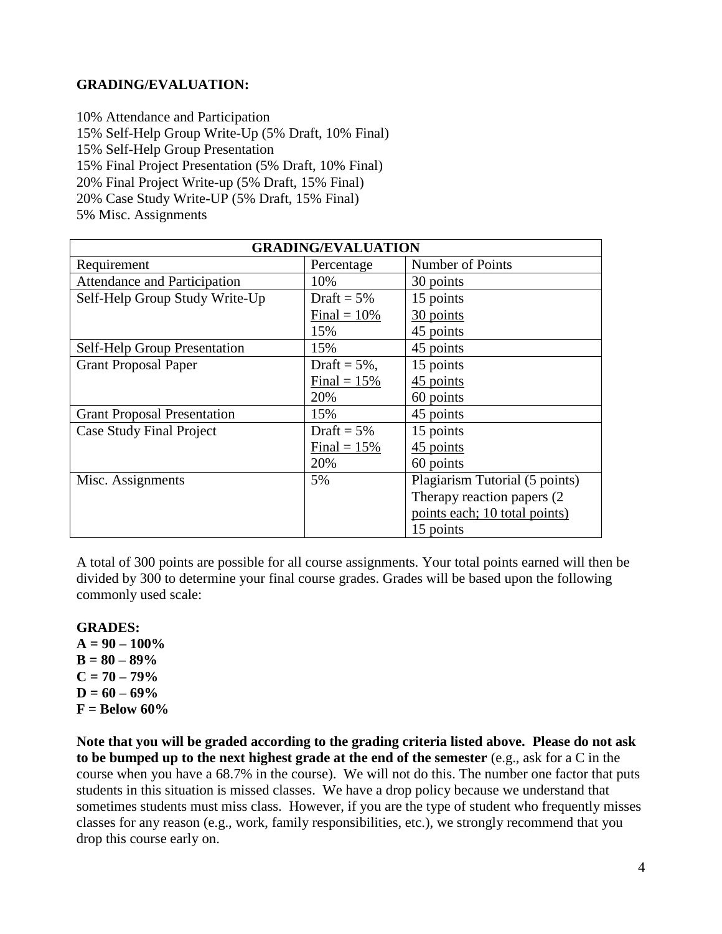#### **GRADING/EVALUATION:**

10% Attendance and Participation 15% Self-Help Group Write-Up (5% Draft, 10% Final) 15% Self-Help Group Presentation 15% Final Project Presentation (5% Draft, 10% Final) 20% Final Project Write-up (5% Draft, 15% Final) 20% Case Study Write-UP (5% Draft, 15% Final) 5% Misc. Assignments

| <b>GRADING/EVALUATION</b>           |                 |                                |  |
|-------------------------------------|-----------------|--------------------------------|--|
| Requirement                         | Percentage      | Number of Points               |  |
| <b>Attendance and Participation</b> | 10%             | 30 points                      |  |
| Self-Help Group Study Write-Up      | Draft = $5\%$   | 15 points                      |  |
|                                     | Final = $10\%$  | 30 points                      |  |
|                                     | 15%             | 45 points                      |  |
| <b>Self-Help Group Presentation</b> | 15%             | 45 points                      |  |
| <b>Grant Proposal Paper</b>         | Draft = $5\%$ , | 15 points                      |  |
|                                     | Final = $15%$   | 45 points                      |  |
|                                     | 20%             | 60 points                      |  |
| <b>Grant Proposal Presentation</b>  | 15%             | 45 points                      |  |
| <b>Case Study Final Project</b>     | Draft = $5\%$   | 15 points                      |  |
|                                     | Final = $15\%$  | 45 points                      |  |
|                                     | 20%             | 60 points                      |  |
| Misc. Assignments                   | 5%              | Plagiarism Tutorial (5 points) |  |
|                                     |                 | Therapy reaction papers (2)    |  |
|                                     |                 | points each; 10 total points)  |  |
|                                     |                 | 15 points                      |  |

A total of 300 points are possible for all course assignments. Your total points earned will then be divided by 300 to determine your final course grades. Grades will be based upon the following commonly used scale:

**GRADES:**

 $A = 90 - 100\%$ **B = 80 – 89%**  $C = 70 - 79\%$  $D = 60 - 69\%$  $F =$ **Below 60%** 

**Note that you will be graded according to the grading criteria listed above. Please do not ask to be bumped up to the next highest grade at the end of the semester** (e.g., ask for a C in the course when you have a 68.7% in the course). We will not do this. The number one factor that puts students in this situation is missed classes. We have a drop policy because we understand that sometimes students must miss class. However, if you are the type of student who frequently misses classes for any reason (e.g., work, family responsibilities, etc.), we strongly recommend that you drop this course early on.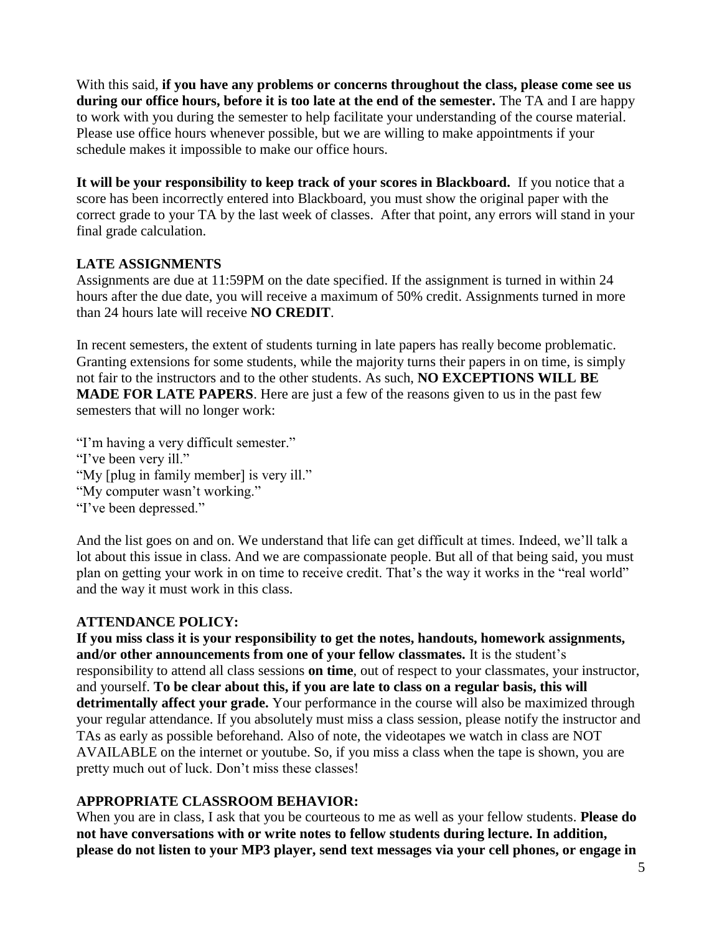With this said, **if you have any problems or concerns throughout the class, please come see us during our office hours, before it is too late at the end of the semester.** The TA and I are happy to work with you during the semester to help facilitate your understanding of the course material. Please use office hours whenever possible, but we are willing to make appointments if your schedule makes it impossible to make our office hours.

**It will be your responsibility to keep track of your scores in Blackboard.** If you notice that a score has been incorrectly entered into Blackboard, you must show the original paper with the correct grade to your TA by the last week of classes. After that point, any errors will stand in your final grade calculation.

### **LATE ASSIGNMENTS**

Assignments are due at 11:59PM on the date specified. If the assignment is turned in within 24 hours after the due date, you will receive a maximum of 50% credit. Assignments turned in more than 24 hours late will receive **NO CREDIT**.

In recent semesters, the extent of students turning in late papers has really become problematic. Granting extensions for some students, while the majority turns their papers in on time, is simply not fair to the instructors and to the other students. As such, **NO EXCEPTIONS WILL BE MADE FOR LATE PAPERS**. Here are just a few of the reasons given to us in the past few semesters that will no longer work:

"I'm having a very difficult semester." "I've been very ill." "My [plug in family member] is very ill." "My computer wasn't working." "I've been depressed."

And the list goes on and on. We understand that life can get difficult at times. Indeed, we'll talk a lot about this issue in class. And we are compassionate people. But all of that being said, you must plan on getting your work in on time to receive credit. That's the way it works in the "real world" and the way it must work in this class.

### **ATTENDANCE POLICY:**

**If you miss class it is your responsibility to get the notes, handouts, homework assignments, and/or other announcements from one of your fellow classmates.** It is the student's responsibility to attend all class sessions **on time**, out of respect to your classmates, your instructor, and yourself. **To be clear about this, if you are late to class on a regular basis, this will detrimentally affect your grade.** Your performance in the course will also be maximized through your regular attendance. If you absolutely must miss a class session, please notify the instructor and TAs as early as possible beforehand. Also of note, the videotapes we watch in class are NOT AVAILABLE on the internet or youtube. So, if you miss a class when the tape is shown, you are pretty much out of luck. Don't miss these classes!

# **APPROPRIATE CLASSROOM BEHAVIOR:**

When you are in class, I ask that you be courteous to me as well as your fellow students. **Please do not have conversations with or write notes to fellow students during lecture. In addition, please do not listen to your MP3 player, send text messages via your cell phones, or engage in**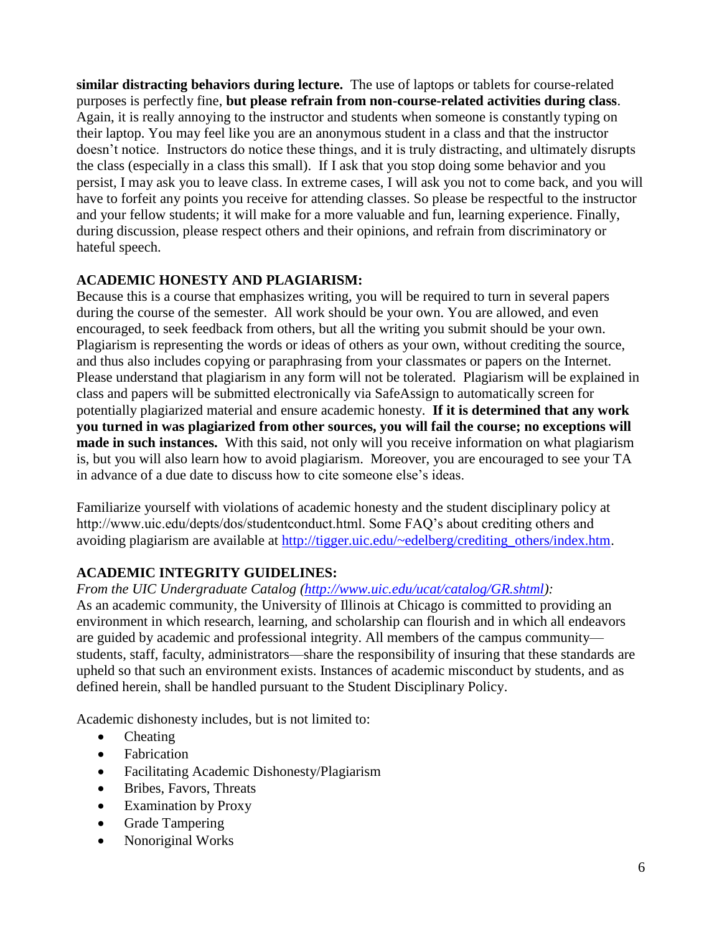**similar distracting behaviors during lecture.** The use of laptops or tablets for course-related purposes is perfectly fine, **but please refrain from non-course-related activities during class**. Again, it is really annoying to the instructor and students when someone is constantly typing on their laptop. You may feel like you are an anonymous student in a class and that the instructor doesn't notice. Instructors do notice these things, and it is truly distracting, and ultimately disrupts the class (especially in a class this small). If I ask that you stop doing some behavior and you persist, I may ask you to leave class. In extreme cases, I will ask you not to come back, and you will have to forfeit any points you receive for attending classes. So please be respectful to the instructor and your fellow students; it will make for a more valuable and fun, learning experience. Finally, during discussion, please respect others and their opinions, and refrain from discriminatory or hateful speech.

## **ACADEMIC HONESTY AND PLAGIARISM:**

Because this is a course that emphasizes writing, you will be required to turn in several papers during the course of the semester. All work should be your own. You are allowed, and even encouraged, to seek feedback from others, but all the writing you submit should be your own. Plagiarism is representing the words or ideas of others as your own, without crediting the source, and thus also includes copying or paraphrasing from your classmates or papers on the Internet. Please understand that plagiarism in any form will not be tolerated. Plagiarism will be explained in class and papers will be submitted electronically via SafeAssign to automatically screen for potentially plagiarized material and ensure academic honesty. **If it is determined that any work you turned in was plagiarized from other sources, you will fail the course; no exceptions will made in such instances.** With this said, not only will you receive information on what plagiarism is, but you will also learn how to avoid plagiarism. Moreover, you are encouraged to see your TA in advance of a due date to discuss how to cite someone else's ideas.

Familiarize yourself with violations of academic honesty and the student disciplinary policy at http://www.uic.edu/depts/dos/studentconduct.html. Some FAQ's about crediting others and avoiding plagiarism are available at [http://tigger.uic.edu/~edelberg/crediting\\_others/index.htm.](http://tigger.uic.edu/~edelberg/crediting_others/index.htm)

# **ACADEMIC INTEGRITY GUIDELINES:**

*From the UIC Undergraduate Catalog [\(http://www.uic.edu/ucat/catalog/GR.shtml\)](http://www.uic.edu/ucat/catalog/GR.shtml):*

As an academic community, the University of Illinois at Chicago is committed to providing an environment in which research, learning, and scholarship can flourish and in which all endeavors are guided by academic and professional integrity. All members of the campus community students, staff, faculty, administrators—share the responsibility of insuring that these standards are upheld so that such an environment exists. Instances of academic misconduct by students, and as defined herein, shall be handled pursuant to the Student Disciplinary Policy.

Academic dishonesty includes, but is not limited to:

- Cheating
- Fabrication
- Facilitating Academic Dishonesty/Plagiarism
- Bribes, Favors, Threats
- Examination by Proxy
- Grade Tampering
- Nonoriginal Works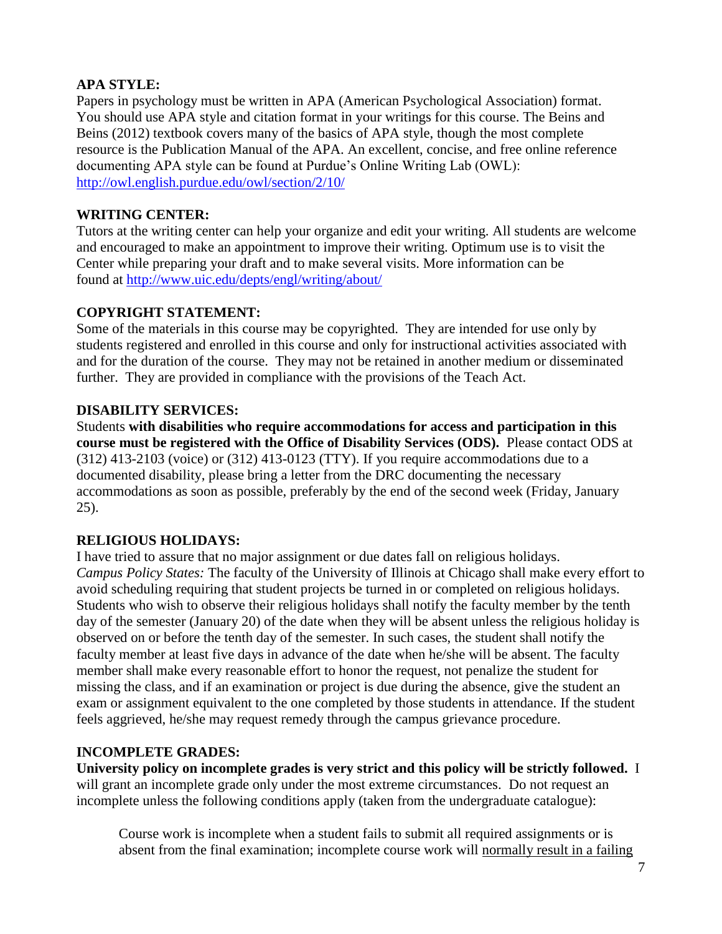## **APA STYLE:**

Papers in psychology must be written in APA (American Psychological Association) format. You should use APA style and citation format in your writings for this course. The Beins and Beins (2012) textbook covers many of the basics of APA style, though the most complete resource is the Publication Manual of the APA. An excellent, concise, and free online reference documenting APA style can be found at Purdue's Online Writing Lab (OWL): <http://owl.english.purdue.edu/owl/section/2/10/>

## **WRITING CENTER:**

Tutors at the writing center can help your organize and edit your writing. All students are welcome and encouraged to make an appointment to improve their writing. Optimum use is to visit the Center while preparing your draft and to make several visits. More information can be found at<http://www.uic.edu/depts/engl/writing/about/>

## **COPYRIGHT STATEMENT:**

Some of the materials in this course may be copyrighted. They are intended for use only by students registered and enrolled in this course and only for instructional activities associated with and for the duration of the course. They may not be retained in another medium or disseminated further. They are provided in compliance with the provisions of the Teach Act.

## **DISABILITY SERVICES:**

Students **with disabilities who require accommodations for access and participation in this course must be registered with the Office of Disability Services (ODS).** Please contact ODS at  $(312)$  413-2103 (voice) or  $(312)$  413-0123 (TTY). If you require accommodations due to a documented disability, please bring a letter from the DRC documenting the necessary accommodations as soon as possible, preferably by the end of the second week (Friday, January 25).

# **RELIGIOUS HOLIDAYS:**

I have tried to assure that no major assignment or due dates fall on religious holidays. *Campus Policy States:* The faculty of the University of Illinois at Chicago shall make every effort to avoid scheduling requiring that student projects be turned in or completed on religious holidays. Students who wish to observe their religious holidays shall notify the faculty member by the tenth day of the semester (January 20) of the date when they will be absent unless the religious holiday is observed on or before the tenth day of the semester. In such cases, the student shall notify the faculty member at least five days in advance of the date when he/she will be absent. The faculty member shall make every reasonable effort to honor the request, not penalize the student for missing the class, and if an examination or project is due during the absence, give the student an exam or assignment equivalent to the one completed by those students in attendance. If the student feels aggrieved, he/she may request remedy through the campus grievance procedure.

### **INCOMPLETE GRADES:**

**University policy on incomplete grades is very strict and this policy will be strictly followed.** I will grant an incomplete grade only under the most extreme circumstances. Do not request an incomplete unless the following conditions apply (taken from the undergraduate catalogue):

Course work is incomplete when a student fails to submit all required assignments or is absent from the final examination; incomplete course work will normally result in a failing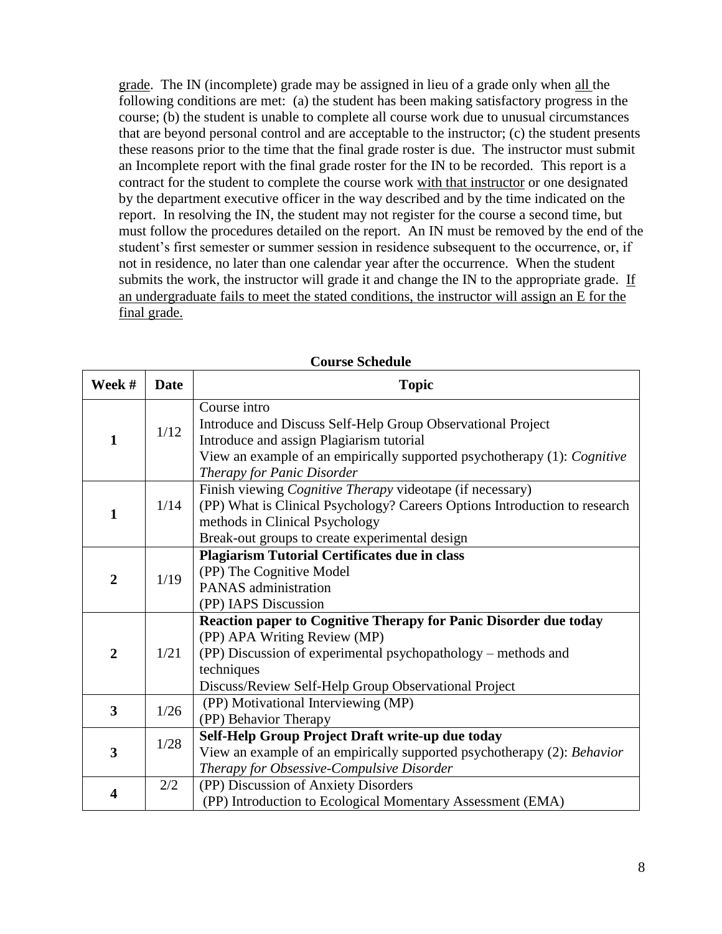grade. The IN (incomplete) grade may be assigned in lieu of a grade only when all the following conditions are met: (a) the student has been making satisfactory progress in the course; (b) the student is unable to complete all course work due to unusual circumstances that are beyond personal control and are acceptable to the instructor; (c) the student presents these reasons prior to the time that the final grade roster is due. The instructor must submit an Incomplete report with the final grade roster for the IN to be recorded. This report is a contract for the student to complete the course work with that instructor or one designated by the department executive officer in the way described and by the time indicated on the report. In resolving the IN, the student may not register for the course a second time, but must follow the procedures detailed on the report. An IN must be removed by the end of the student's first semester or summer session in residence subsequent to the occurrence, or, if not in residence, no later than one calendar year after the occurrence. When the student submits the work, the instructor will grade it and change the IN to the appropriate grade. If an undergraduate fails to meet the stated conditions, the instructor will assign an E for the final grade.

| Week #         | <b>Date</b> | <b>Topic</b>                                                                                                                                                                                                                            |
|----------------|-------------|-----------------------------------------------------------------------------------------------------------------------------------------------------------------------------------------------------------------------------------------|
| $\mathbf{1}$   | 1/12        | Course intro<br>Introduce and Discuss Self-Help Group Observational Project<br>Introduce and assign Plagiarism tutorial<br>View an example of an empirically supported psychotherapy (1): Cognitive<br>Therapy for Panic Disorder       |
| $\mathbf{1}$   | 1/14        | Finish viewing <i>Cognitive Therapy</i> videotape (if necessary)<br>(PP) What is Clinical Psychology? Careers Options Introduction to research<br>methods in Clinical Psychology<br>Break-out groups to create experimental design      |
| $\overline{2}$ | 1/19        | <b>Plagiarism Tutorial Certificates due in class</b><br>(PP) The Cognitive Model<br>PANAS administration<br>(PP) IAPS Discussion                                                                                                        |
| $\overline{2}$ | 1/21        | Reaction paper to Cognitive Therapy for Panic Disorder due today<br>(PP) APA Writing Review (MP)<br>(PP) Discussion of experimental psychopathology – methods and<br>techniques<br>Discuss/Review Self-Help Group Observational Project |
| 3              | 1/26        | (PP) Motivational Interviewing (MP)<br>(PP) Behavior Therapy                                                                                                                                                                            |
| 3              | 1/28        | Self-Help Group Project Draft write-up due today<br>View an example of an empirically supported psychotherapy (2): Behavior<br>Therapy for Obsessive-Compulsive Disorder                                                                |
| 4              | 2/2         | (PP) Discussion of Anxiety Disorders<br>(PP) Introduction to Ecological Momentary Assessment (EMA)                                                                                                                                      |

#### **Course Schedule**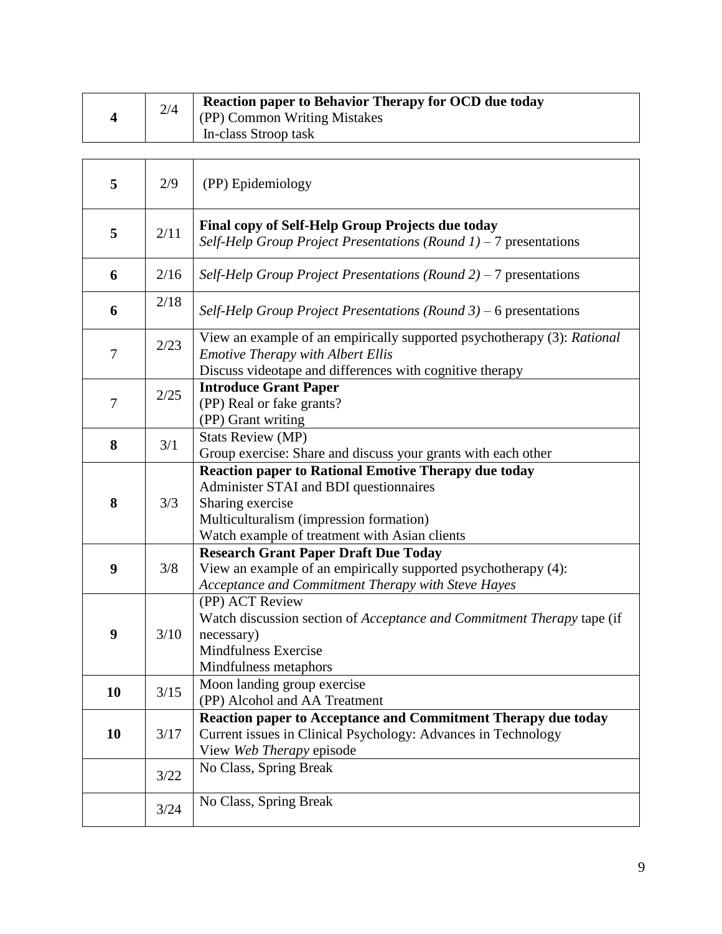|  | 2/4 | <b>Reaction paper to Behavior Therapy for OCD due today</b> |
|--|-----|-------------------------------------------------------------|
|  |     | (PP) Common Writing Mistakes                                |
|  |     | In-class Stroop task                                        |

| 5      | 2/9    | (PP) Epidemiology                                                                                                                                                                                                     |
|--------|--------|-----------------------------------------------------------------------------------------------------------------------------------------------------------------------------------------------------------------------|
| 5      | 2/11   | Final copy of Self-Help Group Projects due today<br>Self-Help Group Project Presentations (Round $1$ ) – 7 presentations                                                                                              |
| 6      | 2/16   | Self-Help Group Project Presentations (Round $2$ ) – 7 presentations                                                                                                                                                  |
| 6      | 2/18   | Self-Help Group Project Presentations (Round $3$ ) – 6 presentations                                                                                                                                                  |
| $\tau$ | 2/23   | View an example of an empirically supported psychotherapy (3): Rational<br><b>Emotive Therapy with Albert Ellis</b><br>Discuss videotape and differences with cognitive therapy                                       |
| $\tau$ | 2/25   | <b>Introduce Grant Paper</b><br>(PP) Real or fake grants?<br>(PP) Grant writing                                                                                                                                       |
| 8      | 3/1    | <b>Stats Review (MP)</b><br>Group exercise: Share and discuss your grants with each other                                                                                                                             |
| 8      | 3/3    | <b>Reaction paper to Rational Emotive Therapy due today</b><br>Administer STAI and BDI questionnaires<br>Sharing exercise<br>Multiculturalism (impression formation)<br>Watch example of treatment with Asian clients |
| 9      | 3/8    | <b>Research Grant Paper Draft Due Today</b><br>View an example of an empirically supported psychotherapy (4):<br>Acceptance and Commitment Therapy with Steve Hayes                                                   |
| 9      | 3/10   | (PP) ACT Review<br>Watch discussion section of <i>Acceptance and Commitment Therapy</i> tape (if<br>necessary)<br>Mindfulness Exercise<br>Mindfulness metaphors                                                       |
| 10     | 3/15   | Moon landing group exercise<br>(PP) Alcohol and AA Treatment                                                                                                                                                          |
| 10     | 3/17   | Reaction paper to Acceptance and Commitment Therapy due today<br>Current issues in Clinical Psychology: Advances in Technology<br>View Web Therapy episode                                                            |
|        | 3/22   | No Class, Spring Break                                                                                                                                                                                                |
|        | $3/24$ | No Class, Spring Break                                                                                                                                                                                                |